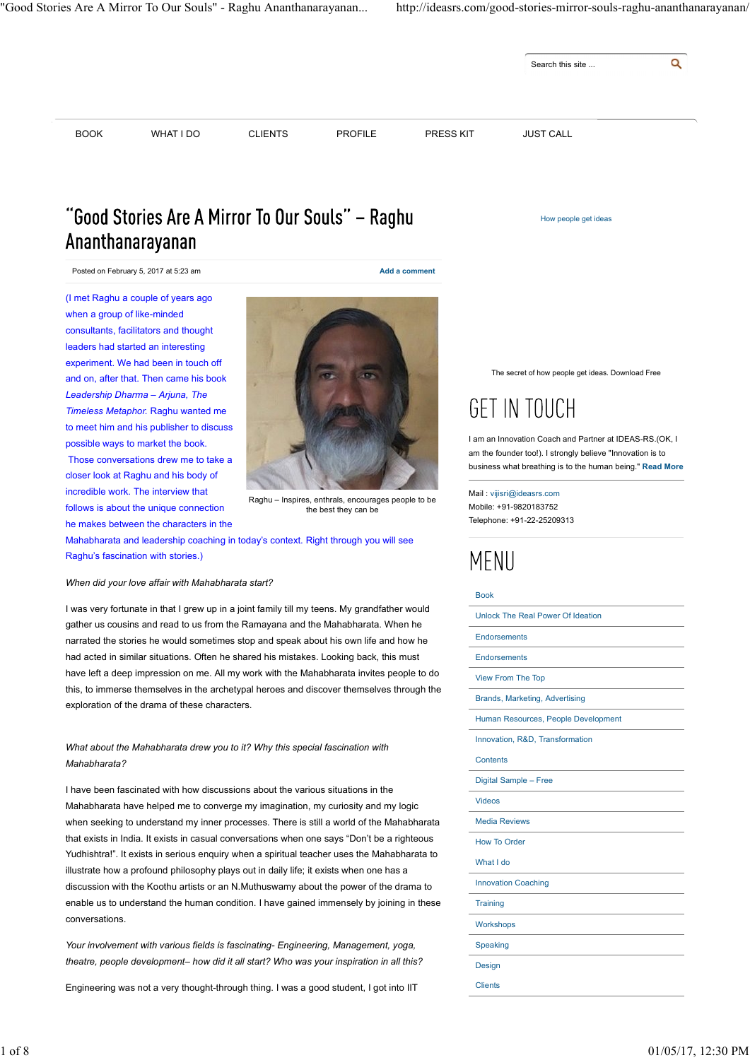

# "Good Stories Are A Mirror To Our Souls" - Raghu Ananthanarayanan

Posted on February 5, 2017 at 5:23 am Add a comment

(I met Raghu a couple of years ago when a group of like-minded consultants, facilitators and thought leaders had started an interesting experiment. We had been in touch off and on, after that. Then came his book Leadership Dharma – Arjuna, The Timeless Metaphor. Raghu wanted me to meet him and his publisher to discuss possible ways to market the book. Those conversations drew me to take a closer look at Raghu and his body of incredible work. The interview that follows is about the unique connection he makes between the characters in the



Raghu – Inspires, enthrals, encourages people to be the best they can be

Mahabharata and leadership coaching in today's context. Right through you will see Raghu's fascination with stories.)

### When did your love affair with Mahabharata start?

I was very fortunate in that I grew up in a joint family till my teens. My grandfather would gather us cousins and read to us from the Ramayana and the Mahabharata. When he narrated the stories he would sometimes stop and speak about his own life and how he had acted in similar situations. Often he shared his mistakes. Looking back, this must have left a deep impression on me. All my work with the Mahabharata invites people to do this, to immerse themselves in the archetypal heroes and discover themselves through the exploration of the drama of these characters.

Mahabharata?

I have been fascinated with how discussions about the various situations in the Mahabharata have helped me to converge my imagination, my curiosity and my logic when seeking to understand my inner processes. There is still a world of the Mahabharata that exists in India. It exists in casual conversations when one says "Don't be a righteous Yudhishtra!". It exists in serious enquiry when a spiritual teacher uses the Mahabharata to illustrate how a profound philosophy plays out in daily life; it exists when one has a discussion with the Koothu artists or an N.Muthuswamy about the power of the drama to enable us to understand the human condition. I have gained immensely by joining in these conversations.

Your involvement with various fields is fascinating- Engineering, Management, yoga, theatre, people development- how did it all start? Who was your inspiration in all this?

Engineering was not a very thought-through thing. I was a good student, I got into IIT

The secret of how people get ideas. Download Free

How people get ideas

# **GET IN TOUCH**

I am an Innovation Coach and Partner at IDEAS-RS.(OK, I am the founder too!). I strongly believe "Innovation is to business what breathing is to the human being." Read More

Mail : vijisri@ideasrs.com Mobile: +91-9820183752 Telephone: +91-22-25209313

### Book

to meet him and his publisher to discuss<br>
Those conventation book content the book<br>
Those conventations for the total team of the Mahabharata drew you to it?<br>
In an innovation Ceach and Platfore is USA-953.0<br>
The metals ob Unlock The Real Power Of Ideation **Endorsements** Endorsements View From The Top Brands, Marketing, Advertising Human Resources, People Development Innovation, R&D, Transformation **Contents** Digital Sample – Free Videos Media Reviews How To Order What I do Innovation Coaching **Training Workshops** Speaking **Designation of the contract of the contract of the contract of the contract of the contract of the contract of the contract of the contract of the contract of the contract of the contract of the contract of the contract o Clients Clients Clients** What about the Mahabharata drew you to it? Why this special fascination with the contents. RAD, Transformation<br>
1 have been fascinated with how discussions about the various situations in the Digital Sample - Free<br>
1 have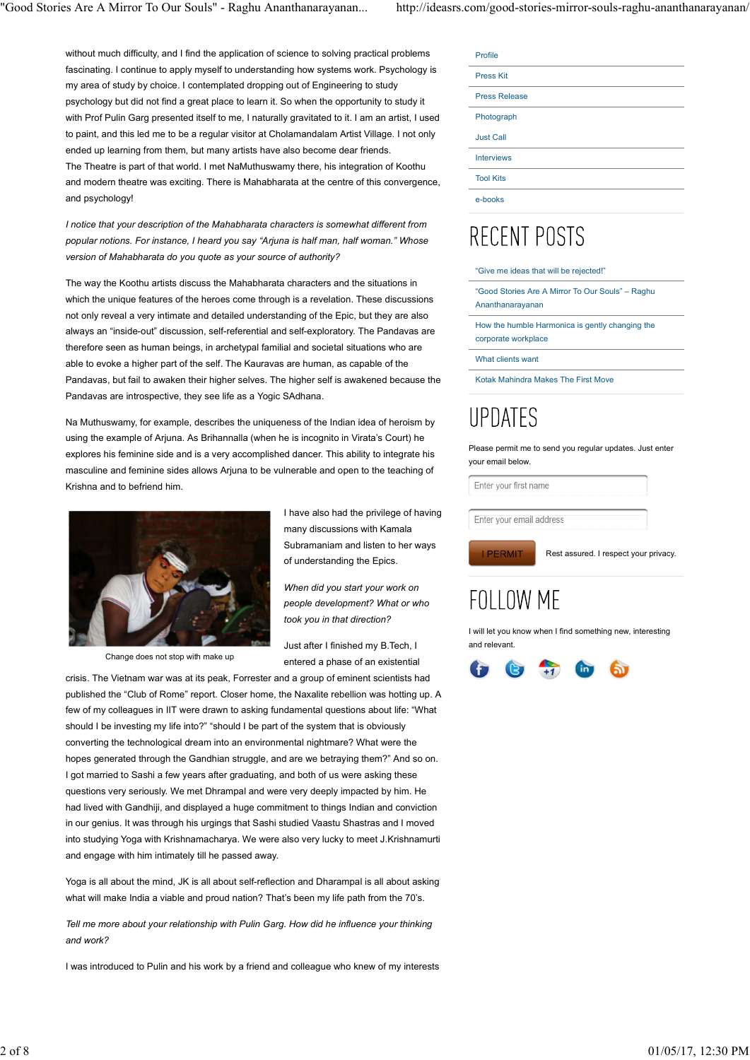without much difficulty, and I find the application of science to solving practical problems fascinating. I continue to apply myself to understanding how systems work. Psychology is my area of study by choice. I contemplated dropping out of Engineering to study psychology but did not find a great place to learn it. So when the opportunity to study it with Prof Pulin Garg presented itself to me, I naturally gravitated to it. I am an artist, I used to paint, and this led me to be a regular visitor at Cholamandalam Artist Village. I not only ended up learning from them, but many artists have also become dear friends. The Theatre is part of that world. I met NaMuthuswamy there, his integration of Koothu and modern theatre was exciting. There is Mahabharata at the centre of this convergence, and psychology!

I notice that your description of the Mahabharata characters is somewhat different from<br>popular notions. For instance, I heard you say "Arjuna is half man, half woman." Whose  $\begin{matrix} \text{R}\text{E}\text{E}\text{N}\text{I} \text{POST}\text{S} \end{matrix}$ popular notions. For instance, I heard you say "Arjuna is half man, half woman." Whose version of Mahabharata do you quote as your source of authority?

The way the Koothu artists discuss the Mahabharata characters and the situations in which the unique features of the heroes come through is a revelation. These discussions not only reveal a very intimate and detailed understanding of the Epic, but they are also always an "inside-out" discussion, self-referential and self-exploratory. The Pandavas are therefore seen as human beings, in archetypal familial and societal situations who are able to evoke a higher part of the self. The Kauravas are human, as capable of the Pandavas, but fail to awaken their higher selves. The higher self is awakened because the Pandavas are introspective, they see life as a Yogic SAdhana.

Na Muthuswamy, for example, describes the uniqueness of the Indian idea of heroism by  $\bigcup \mathsf{PDATES}$ using the example of Arjuna. As Brihannalla (when he is incognito in Virata's Court) he explores his feminine side and is a very accomplished dancer. This ability to integrate his masculine and feminine sides allows Arjuna to be vulnerable and open to the teaching of Krishna and to befriend him.



Change does not stop with make up

I have also had the privilege of having  $\sqrt{\frac{2}{\text{Enter your email address}}}$ many discussions with Kamala Subramaniam and listen to her ways of understanding the Epics.

When did you start your work on<br>people development? What or who  $\mathsf{F} \cap \mathsf{I} \cap \mathsf{W} \mathsf{M} \mathsf{F}$ people development? What or who took you in that direction?

Just after I finished my B.Tech, I entered a phase of an existential

crisis. The Vietnam war was at its peak, Forrester and a group of eminent scientists had published the "Club of Rome" report. Closer home, the Naxalite rebellion was hotting up. A few of my colleagues in IIT were drawn to asking fundamental questions about life: "What should I be investing my life into?" "should I be part of the system that is obviously converting the technological dream into an environmental nightmare? What were the hopes generated through the Gandhian struggle, and are we betraying them?" And so on. I got married to Sashi a few years after graduating, and both of us were asking these questions very seriously. We met Dhrampal and were very deeply impacted by him. He had lived with Gandhiji, and displayed a huge commitment to things Indian and conviction in our genius. It was through his urgings that Sashi studied Vaastu Shastras and I moved into studying Yoga with Krishnamacharya. We were also very lucky to meet J.Krishnamurti and engage with him intimately till he passed away. should be investing my life into?" should be part of the system that is obviously<br>converting the technological dream inio an environmental inightmare? What were the<br>hores generated through the Gandhian struggle, and are we

Yoga is all about the mind, JK is all about self-reflection and Dharampal is all about asking what will make India a viable and proud nation? That's been my life path from the 70's.

Tell me more about your relationship with Pulin Garg. How did he influence your thinking and work?

I was introduced to Pulin and his work by a friend and colleague who knew of my interests

| Profile              |
|----------------------|
| <b>Press Kit</b>     |
| <b>Press Release</b> |
| Photograph           |
| <b>Just Call</b>     |
| <b>Interviews</b>    |
| <b>Tool Kits</b>     |
| e-books              |

"Give me ideas that will be rejected!"

"Good Stories Are A Mirror To Our Souls" – Raghu Ananthanarayanan

How the humble Harmonica is gently changing the corporate workplace

What clients want

Kotak Mahindra Makes The First Move

Please permit me to send you regular updates. Just enter your email below.

Enter your first name

Rest assured. I respect your privacy.

I will let you know when I find something new, interesting and relevant.

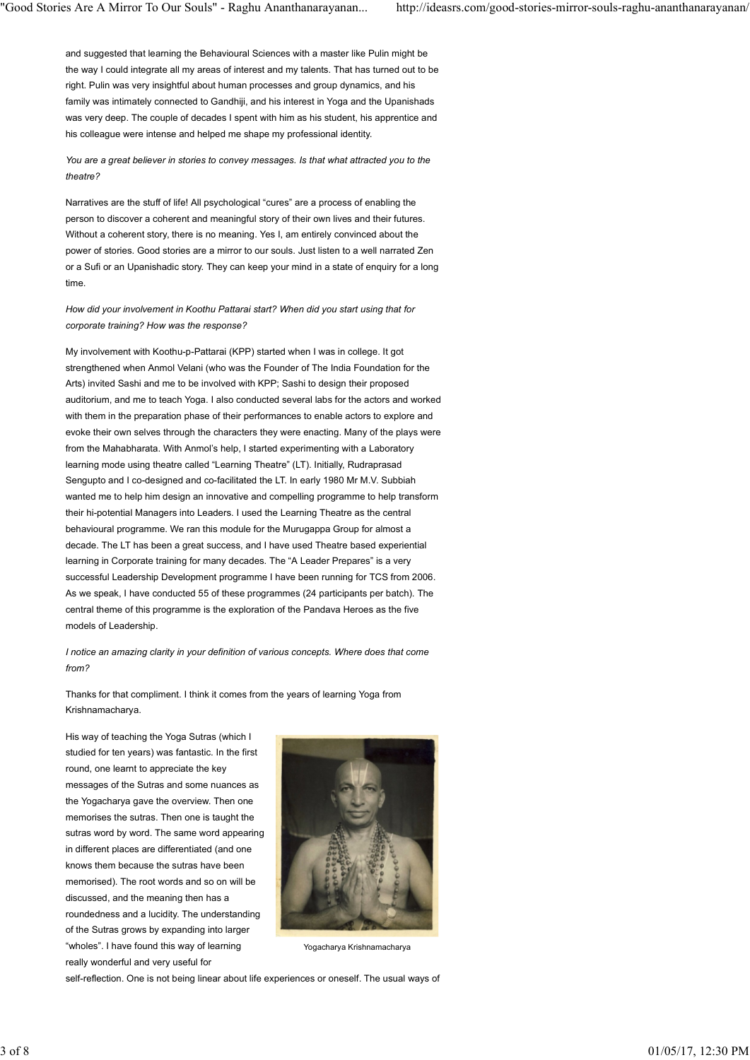and suggested that learning the Behavioural Sciences with a master like Pulin might be the way I could integrate all my areas of interest and my talents. That has turned out to be right. Pulin was very insightful about human processes and group dynamics, and his family was intimately connected to Gandhiji, and his interest in Yoga and the Upanishads was very deep. The couple of decades I spent with him as his student, his apprentice and his colleague were intense and helped me shape my professional identity.

You are a great believer in stories to convey messages. Is that what attracted you to the theatre?

Narratives are the stuff of life! All psychological "cures" are a process of enabling the person to discover a coherent and meaningful story of their own lives and their futures. Without a coherent story, there is no meaning. Yes I, am entirely convinced about the power of stories. Good stories are a mirror to our souls. Just listen to a well narrated Zen or a Sufi or an Upanishadic story. They can keep your mind in a state of enquiry for a long time.

How did your involvement in Koothu Pattarai start? When did you start using that for corporate training? How was the response?

My involvement with Koothu-p-Pattarai (KPP) started when I was in college. It got strengthened when Anmol Velani (who was the Founder of The India Foundation for the Arts) invited Sashi and me to be involved with KPP; Sashi to design their proposed auditorium, and me to teach Yoga. I also conducted several labs for the actors and worked with them in the preparation phase of their performances to enable actors to explore and evoke their own selves through the characters they were enacting. Many of the plays were from the Mahabharata. With Anmol's help, I started experimenting with a Laboratory learning mode using theatre called "Learning Theatre" (LT). Initially, Rudraprasad Sengupto and I co-designed and co-facilitated the LT. In early 1980 Mr M.V. Subbiah wanted me to help him design an innovative and compelling programme to help transform their hi-potential Managers into Leaders. I used the Learning Theatre as the central behavioural programme. We ran this module for the Murugappa Group for almost a decade. The LT has been a great success, and I have used Theatre based experiential learning in Corporate training for many decades. The "A Leader Prepares" is a very successful Leadership Development programme I have been running for TCS from 2006. As we speak, I have conducted 55 of these programmes (24 participants per batch). The central theme of this programme is the exploration of the Pandava Heroes as the five models of Leadership.

I notice an amazing clarity in your definition of various concepts. Where does that come from?

Thanks for that compliment. I think it comes from the years of learning Yoga from Krishnamacharya.

His way of teaching the Yoga Sutras (which I studied for ten years) was fantastic. In the first round, one learnt to appreciate the key messages of the Sutras and some nuances as the Yogacharya gave the overview. Then one memorises the sutras. Then one is taught the sutras word by word. The same word appearing in different places are differentiated (and one knows them because the sutras have been memorised). The root words and so on will be discussed, and the meaning then has a roundedness and a lucidity. The understanding of the Sutras grows by expanding into larger "wholes". I have found this way of learning really wonderful and very useful for His way of loaching the Yoga Sultas (which I<br>studied for the nyarm), was fantastic. In the first<br>round, one learnt to approach the key<br>messages of the Sultars and some in almost as<br>messages of the Sultars and some in almos



Yogacharya Krishnamacharya

self-reflection. One is not being linear about life experiences or oneself. The usual ways of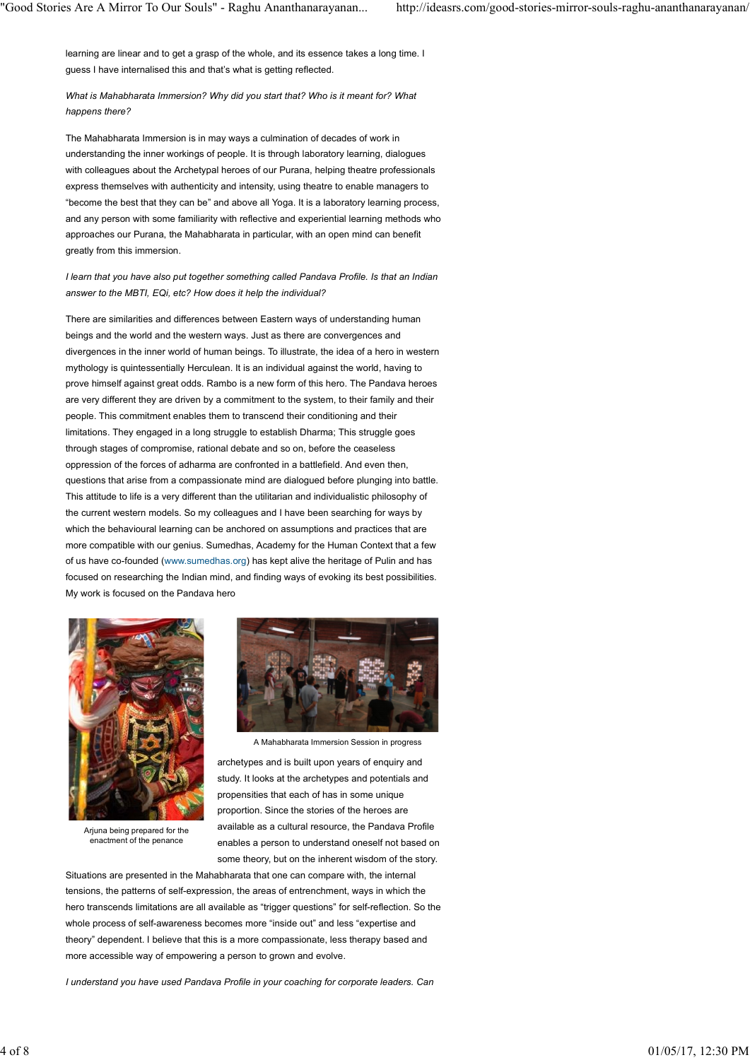learning are linear and to get a grasp of the whole, and its essence takes a long time. I guess I have internalised this and that's what is getting reflected.

What is Mahabharata Immersion? Why did you start that? Who is it meant for? What happens there?

The Mahabharata Immersion is in may ways a culmination of decades of work in understanding the inner workings of people. It is through laboratory learning, dialogues with colleagues about the Archetypal heroes of our Purana, helping theatre professionals express themselves with authenticity and intensity, using theatre to enable managers to "become the best that they can be" and above all Yoga. It is a laboratory learning process, and any person with some familiarity with reflective and experiential learning methods who approaches our Purana, the Mahabharata in particular, with an open mind can benefit greatly from this immersion.

### I learn that you have also put together something called Pandava Profile. Is that an Indian answer to the MBTI, EQi, etc? How does it help the individual?

There are similarities and differences between Eastern ways of understanding human beings and the world and the western ways. Just as there are convergences and divergences in the inner world of human beings. To illustrate, the idea of a hero in western mythology is quintessentially Herculean. It is an individual against the world, having to prove himself against great odds. Rambo is a new form of this hero. The Pandava heroes are very different they are driven by a commitment to the system, to their family and their people. This commitment enables them to transcend their conditioning and their limitations. They engaged in a long struggle to establish Dharma; This struggle goes through stages of compromise, rational debate and so on, before the ceaseless oppression of the forces of adharma are confronted in a battlefield. And even then, questions that arise from a compassionate mind are dialogued before plunging into battle. This attitude to life is a very different than the utilitarian and individualistic philosophy of the current western models. So my colleagues and I have been searching for ways by which the behavioural learning can be anchored on assumptions and practices that are more compatible with our genius. Sumedhas, Academy for the Human Context that a few of us have co-founded (www.sumedhas.org) has kept alive the heritage of Pulin and has focused on researching the Indian mind, and finding ways of evoking its best possibilities. My work is focused on the Pandava hero



Arjuna being prepared for the



A Mahabharata Immersion Session in progress

enactment of the penance enables a person to understand oneself not based on archetypes and is built upon years of enquiry and study. It looks at the archetypes and potentials and propensities that each of has in some unique proportion. Since the stories of the heroes are available as a cultural resource, the Pandava Profile some theory, but on the inherent wisdom of the story.

Situations are presented in the Mahabharata that one can compare with, the internal tensions, the patterns of self-expression, the areas of entrenchment, ways in which the hero transcends limitations are all available as "trigger questions" for self-reflection. So the whole process of self-awareness becomes more "inside out" and less "expertise and theory" dependent. I believe that this is a more compassionate, less therapy based and more accessible way of empowering a person to grown and evolve. A Mahabhanala Interestion Session in progress<br>archebytes and is built upon years of enquiry and<br>actually it leads at the actor-stypes and poperations in a material in a proportion. Since the stories of the haroes are<br>propo

I understand you have used Pandava Profile in your coaching for corporate leaders. Can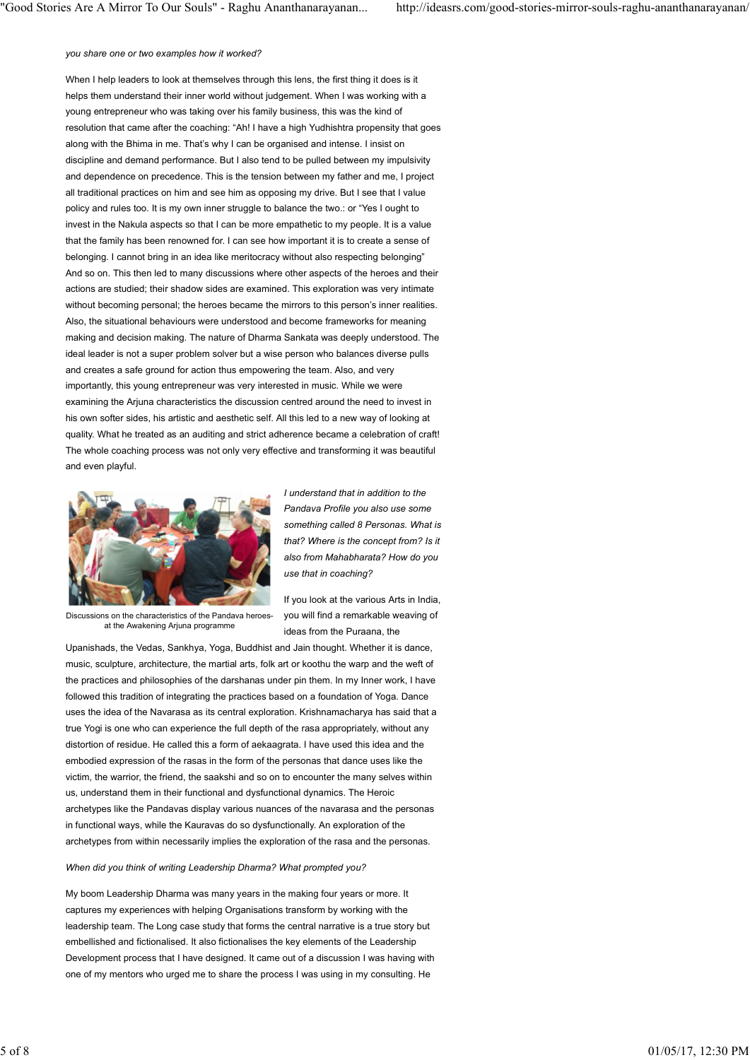### you share one or two examples how it worked?

When I help leaders to look at themselves through this lens, the first thing it does is it helps them understand their inner world without judgement. When I was working with a young entrepreneur who was taking over his family business, this was the kind of resolution that came after the coaching: "Ah! I have a high Yudhishtra propensity that goes along with the Bhima in me. That's why I can be organised and intense. I insist on discipline and demand performance. But I also tend to be pulled between my impulsivity and dependence on precedence. This is the tension between my father and me, I project all traditional practices on him and see him as opposing my drive. But I see that I value policy and rules too. It is my own inner struggle to balance the two.: or "Yes I ought to invest in the Nakula aspects so that I can be more empathetic to my people. It is a value that the family has been renowned for. I can see how important it is to create a sense of belonging. I cannot bring in an idea like meritocracy without also respecting belonging" And so on. This then led to many discussions where other aspects of the heroes and their actions are studied; their shadow sides are examined. This exploration was very intimate without becoming personal; the heroes became the mirrors to this person's inner realities. Also, the situational behaviours were understood and become frameworks for meaning making and decision making. The nature of Dharma Sankata was deeply understood. The ideal leader is not a super problem solver but a wise person who balances diverse pulls and creates a safe ground for action thus empowering the team. Also, and very importantly, this young entrepreneur was very interested in music. While we were examining the Arjuna characteristics the discussion centred around the need to invest in his own softer sides, his artistic and aesthetic self. All this led to a new way of looking at quality. What he treated as an auditing and strict adherence became a celebration of craft! The whole coaching process was not only very effective and transforming it was beautiful and even playful.



I understand that in addition to the Pandava Profile you also use some something called 8 Personas. What is that? Where is the concept from? Is it also from Mahabharata? How do you use that in coaching?

Discussions on the characteristics of the Pandava heroesat the Awakening Arjuna programme

If you look at the various Arts in India, you will find a remarkable weaving of ideas from the Puraana, the

Upanishads, the Vedas, Sankhya, Yoga, Buddhist and Jain thought. Whether it is dance, music, sculpture, architecture, the martial arts, folk art or koothu the warp and the weft of the practices and philosophies of the darshanas under pin them. In my Inner work, I have followed this tradition of integrating the practices based on a foundation of Yoga. Dance uses the idea of the Navarasa as its central exploration. Krishnamacharya has said that a true Yogi is one who can experience the full depth of the rasa appropriately, without any distortion of residue. He called this a form of aekaagrata. I have used this idea and the embodied expression of the rasas in the form of the personas that dance uses like the victim, the warrior, the friend, the saakshi and so on to encounter the many selves within us, understand them in their functional and dysfunctional dynamics. The Heroic archetypes like the Pandavas display various nuances of the navarasa and the personas in functional ways, while the Kauravas do so dysfunctionally. An exploration of the archetypes from within necessarily implies the exploration of the rasa and the personas. true Yogi is one who can experience the Mil depth of the reas appropriately, without any distriction of residue, the calied this form of alekangrata. I have used this idea and the embodied expression of the ransa in the fo

### When did you think of writing Leadership Dharma? What prompted you?

My boom Leadership Dharma was many years in the making four years or more. It captures my experiences with helping Organisations transform by working with the leadership team. The Long case study that forms the central narrative is a true story but embellished and fictionalised. It also fictionalises the key elements of the Leadership Development process that I have designed. It came out of a discussion I was having with one of my mentors who urged me to share the process I was using in my consulting. He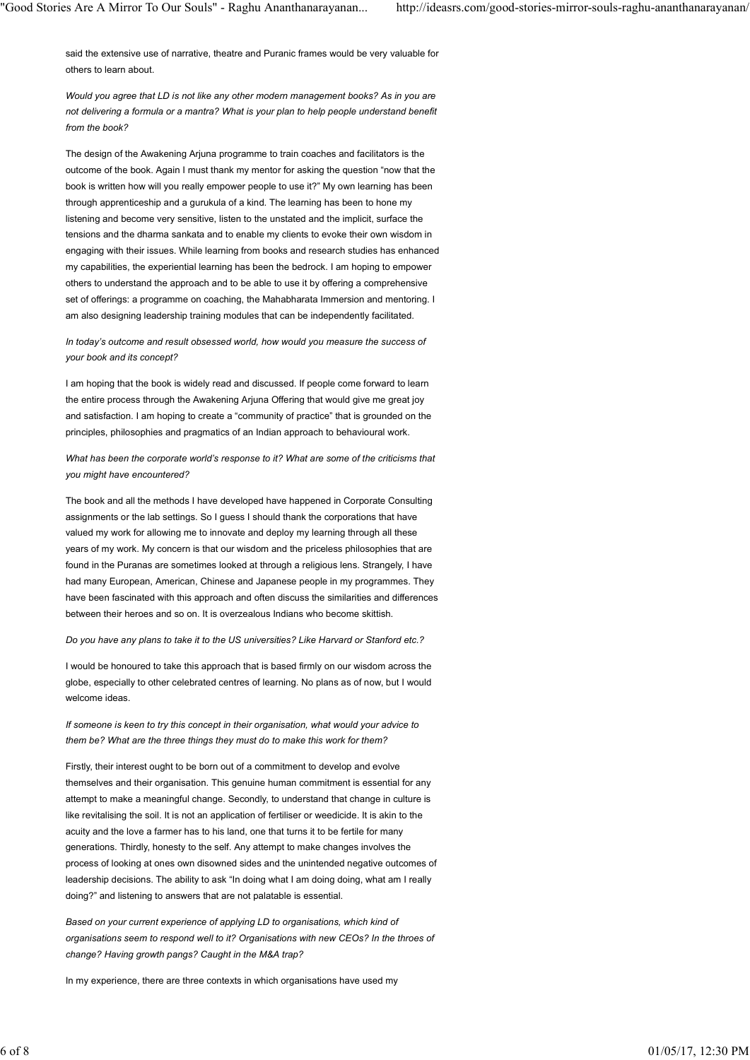said the extensive use of narrative, theatre and Puranic frames would be very valuable for others to learn about.

Would you agree that LD is not like any other modern management books? As in you are not delivering a formula or a mantra? What is your plan to help people understand benefit from the book?

The design of the Awakening Arjuna programme to train coaches and facilitators is the outcome of the book. Again I must thank my mentor for asking the question "now that the book is written how will you really empower people to use it?" My own learning has been through apprenticeship and a gurukula of a kind. The learning has been to hone my listening and become very sensitive, listen to the unstated and the implicit, surface the tensions and the dharma sankata and to enable my clients to evoke their own wisdom in engaging with their issues. While learning from books and research studies has enhanced my capabilities, the experiential learning has been the bedrock. I am hoping to empower others to understand the approach and to be able to use it by offering a comprehensive set of offerings: a programme on coaching, the Mahabharata Immersion and mentoring. I am also designing leadership training modules that can be independently facilitated.

In today's outcome and result obsessed world, how would you measure the success of your book and its concept?

I am hoping that the book is widely read and discussed. If people come forward to learn the entire process through the Awakening Arjuna Offering that would give me great joy and satisfaction. I am hoping to create a "community of practice" that is grounded on the principles, philosophies and pragmatics of an Indian approach to behavioural work.

What has been the corporate world's response to it? What are some of the criticisms that you might have encountered?

The book and all the methods I have developed have happened in Corporate Consulting assignments or the lab settings. So I guess I should thank the corporations that have valued my work for allowing me to innovate and deploy my learning through all these years of my work. My concern is that our wisdom and the priceless philosophies that are found in the Puranas are sometimes looked at through a religious lens. Strangely, I have had many European, American, Chinese and Japanese people in my programmes. They have been fascinated with this approach and often discuss the similarities and differences between their heroes and so on. It is overzealous Indians who become skittish.

Do you have any plans to take it to the US universities? Like Harvard or Stanford etc.?

I would be honoured to take this approach that is based firmly on our wisdom across the globe, especially to other celebrated centres of learning. No plans as of now, but I would welcome ideas.

If someone is keen to try this concept in their organisation, what would your advice to them be? What are the three things they must do to make this work for them?

Firstly, their interest ought to be born out of a commitment to develop and evolve themselves and their organisation. This genuine human commitment is essential for any attempt to make a meaningful change. Secondly, to understand that change in culture is like revitalising the soil. It is not an application of fertiliser or weedicide. It is akin to the acuity and the love a farmer has to his land, one that turns it to be fertile for many generations. Thirdly, honesty to the self. Any attempt to make changes involves the process of looking at ones own disowned sides and the unintended negative outcomes of leadership decisions. The ability to ask "In doing what I am doing doing, what am I really doing?" and listening to answers that are not palatable is essential. is anywaries as een to thy ans current in the transparsance), which would your solved by the stress of the fitter three to the fitter of the best provide the stress of the fitter of the best provide the stress of the best

Based on your current experience of applying LD to organisations, which kind of organisations seem to respond well to it? Organisations with new CEOs? In the throes of change? Having growth pangs? Caught in the M&A trap?

In my experience, there are three contexts in which organisations have used my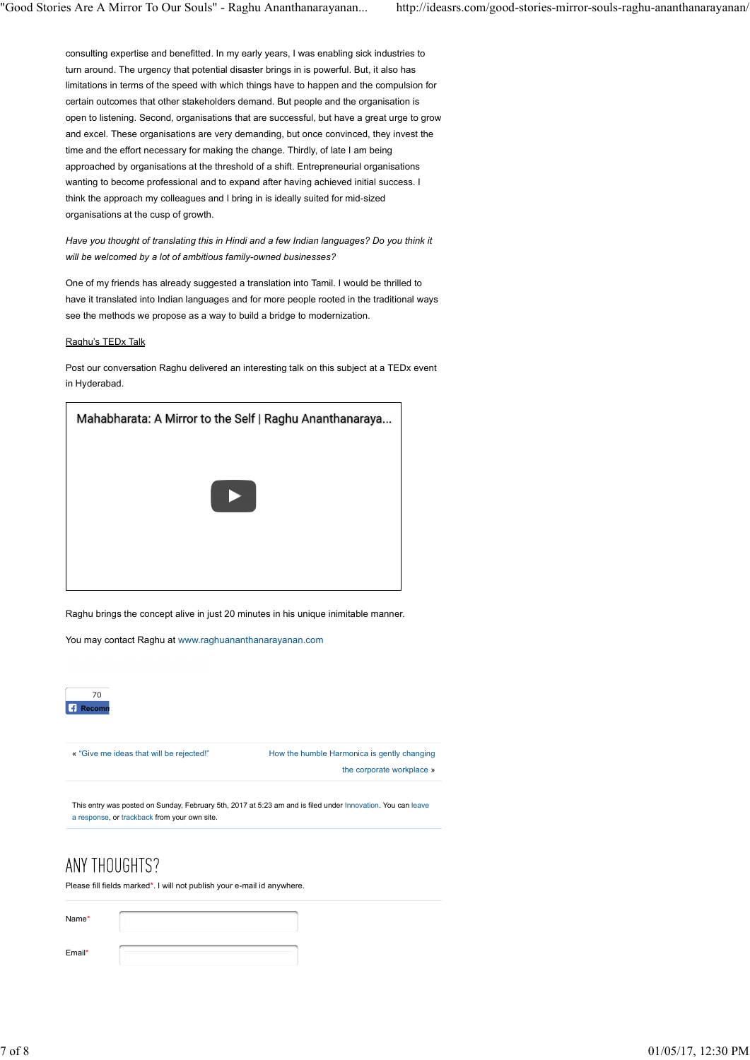consulting expertise and benefitted. In my early years, I was enabling sick industries to turn around. The urgency that potential disaster brings in is powerful. But, it also has limitations in terms of the speed with which things have to happen and the compulsion for certain outcomes that other stakeholders demand. But people and the organisation is open to listening. Second, organisations that are successful, but have a great urge to grow and excel. These organisations are very demanding, but once convinced, they invest the time and the effort necessary for making the change. Thirdly, of late I am being approached by organisations at the threshold of a shift. Entrepreneurial organisations wanting to become professional and to expand after having achieved initial success. I think the approach my colleagues and I bring in is ideally suited for mid-sized organisations at the cusp of growth.

Have you thought of translating this in Hindi and a few Indian languages? Do you think it will be welcomed by a lot of ambitious family-owned businesses?

One of my friends has already suggested a translation into Tamil. I would be thrilled to have it translated into Indian languages and for more people rooted in the traditional ways see the methods we propose as a way to build a bridge to modernization.

### Raghu's TEDx Talk

Post our conversation Raghu delivered an interesting talk on this subject at a TEDx event in Hyderabad.



Raghu brings the concept alive in just 20 minutes in his unique inimitable manner.

You may contact Raghu at www.raghuananthanarayanan.com



the corporate workplace »

This entry was posted on Sunday, February 5th, 2017 at 5:23 am and is filed under Innovation. You can leave a response, or trackback from your own site. *s* "Give me isless that will be rejected" <sup>t</sup> these the humble Harmonica is gently changing<br>the compression of surespectively restrictly control and the component wordplace a<br>measure, or maskes or surespectively restric

Please fill fields marked\*. I will not publish your e-mail id anywhere.

| Name* |  |
|-------|--|
|       |  |

Email\*